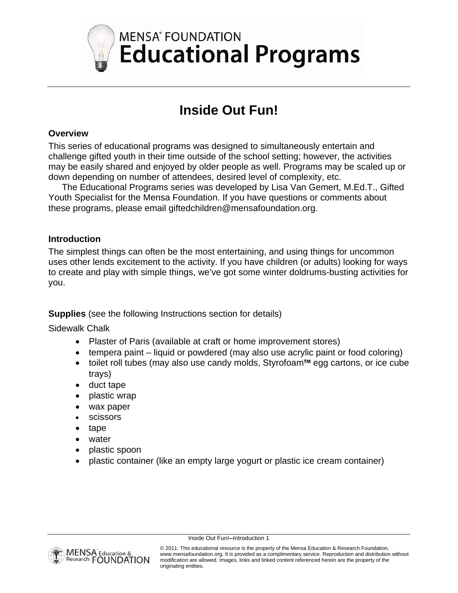

## **Inside Out Fun!**

#### **Overview**

This series of educational programs was designed to simultaneously entertain and challenge gifted youth in their time outside of the school setting; however, the activities may be easily shared and enjoyed by older people as well. Programs may be scaled up or down depending on number of attendees, desired level of complexity, etc.

The Educational Programs series was developed by Lisa Van Gemert, M.Ed.T., Gifted Youth Specialist for the Mensa Foundation. If you have questions or comments about these programs, please email giftedchildren@mensafoundation.org.

#### **Introduction**

The simplest things can often be the most entertaining, and using things for uncommon uses other lends excitement to the activity. If you have children (or adults) looking for ways to create and play with simple things, we've got some winter doldrums-busting activities for you.

**Supplies** (see the following Instructions section for details)

Sidewalk Chalk

- Plaster of Paris (available at craft or home improvement stores)
- tempera paint liquid or powdered (may also use acrylic paint or food coloring)
- toilet roll tubes (may also use candy molds, Styrofoam™ egg cartons, or ice cube trays)
- duct tape
- plastic wrap
- wax paper
- scissors
- tape
- water
- plastic spoon
- plastic container (like an empty large yogurt or plastic ice cream container)



Inside Out Fun!—Introduction 1

© 2011: This educational resource is the property of the Mensa Education & Research Foundation, www.mensafoundation.org. It is provided as a complimentary service. Reproduction and distribution without modification are allowed. Images, links and linked content referenced herein are the property of the originating entities.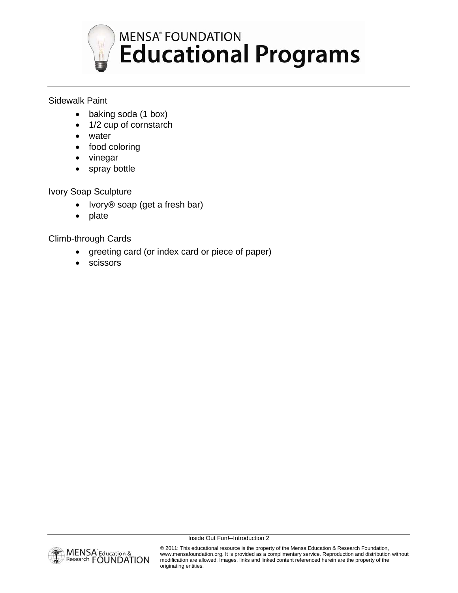

# **MENSA<sup>®</sup> FOUNDATION Educational Programs**

## Sidewalk Paint

- baking soda (1 box)
- 1/2 cup of cornstarch
- water
- food coloring
- vinegar
- spray bottle

## Ivory Soap Sculpture

- Ivory® soap (get a fresh bar)
- plate

Climb-through Cards

- greeting card (or index card or piece of paper)
- scissors



Inside Out Fun!—Introduction 2

© 2011: This educational resource is the property of the Mensa Education & Research Foundation, www.mensafoundation.org. It is provided as a complimentary service. Reproduction and distribution without modification are allowed. Images, links and linked content referenced herein are the property of the originating entities.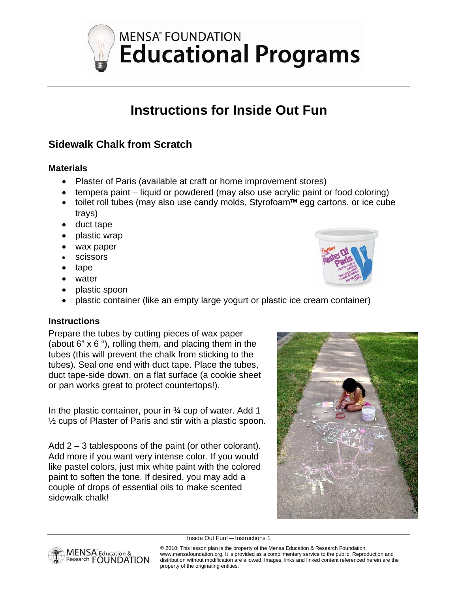**MENSA<sup>®</sup> FOUNDATION Educational Programs** 

## **Instructions for Inside Out Fun**

## **Sidewalk Chalk from Scratch**

## **Materials**

- Plaster of Paris (available at craft or home improvement stores)
- tempera paint liquid or powdered (may also use acrylic paint or food coloring)
- toilet roll tubes (may also use candy molds, Styrofoam™ egg cartons, or ice cube trays)
- duct tape
- plastic wrap
- wax paper
- scissors
- tape
- water
- plastic spoon
- plastic container (like an empty large yogurt or plastic ice cream container)

## **Instructions**

Prepare the tubes by cutting pieces of wax paper (about 6" x 6 "), rolling them, and placing them in the tubes (this will prevent the chalk from sticking to the tubes). Seal one end with duct tape. Place the tubes, duct tape-side down, on a flat surface (a cookie sheet or pan works great to protect countertops!).

In the plastic container, pour in 34 cup of water. Add 1 ½ cups of Plaster of Paris and stir with a plastic spoon.

Add 2 – 3 tablespoons of the paint (or other colorant). Add more if you want very intense color. If you would like pastel colors, just mix white paint with the colored paint to soften the tone. If desired, you may add a couple of drops of essential oils to make scented sidewalk chalk!



Inside Out Fun! — Instructions 1

© 2010: This lesson plan is the property of the Mensa Education & Research Foundation, www.mensafoundation.org. It is provided as a complimentary service to the public. Reproduction and distribution without modification are allowed. Images, links and linked content referenced herein are the property of the originating entities.



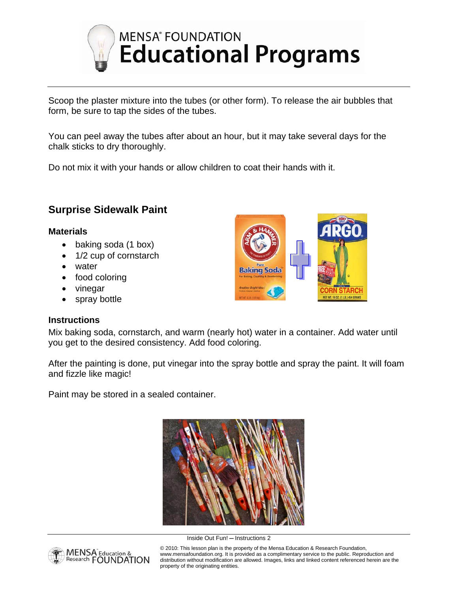

# **MENSA<sup>®</sup> FOUNDATION Educational Programs**

Scoop the plaster mixture into the tubes (or other form). To release the air bubbles that form, be sure to tap the sides of the tubes.

You can peel away the tubes after about an hour, but it may take several days for the chalk sticks to dry thoroughly.

Do not mix it with your hands or allow children to coat their hands with it.

## **Surprise Sidewalk Paint**

## **Materials**

- baking soda (1 box)
- 1/2 cup of cornstarch
- water
- food coloring
- vinegar
- spray bottle

#### **Instructions**

**Baking Soda STARCH IET WT. 16 DZ. (1 LB.) 454 GRAMS** 

Mix baking soda, cornstarch, and warm (nearly hot) water in a container. Add water until you get to the desired consistency. Add food coloring.

After the painting is done, put vinegar into the spray bottle and spray the paint. It will foam and fizzle like magic!

Paint may be stored in a sealed container.





Inside Out Fun! — Instructions 2

© 2010: This lesson plan is the property of the Mensa Education & Research Foundation, www.mensafoundation.org. It is provided as a complimentary service to the public. Reproduction and distribution without modification are allowed. Images, links and linked content referenced herein are the property of the originating entities.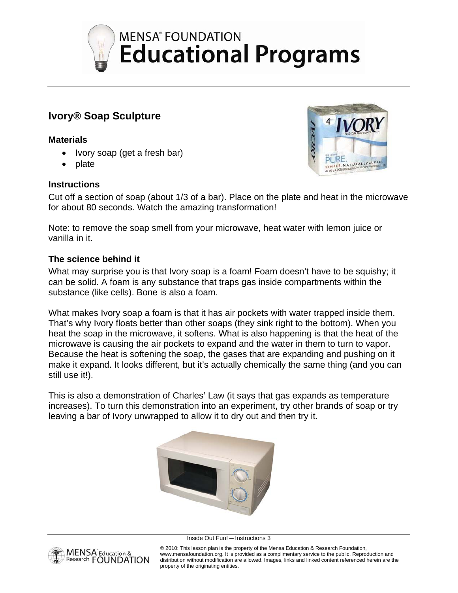

## **Ivory® Soap Sculpture**

#### **Materials**

- Ivory soap (get a fresh bar)
- plate

#### **Instructions**



Cut off a section of soap (about 1/3 of a bar). Place on the plate and heat in the microwave for about 80 seconds. Watch the amazing transformation!

Note: to remove the soap smell from your microwave, heat water with lemon juice or vanilla in it.

## **The science behind it**

What may surprise you is that Ivory soap is a foam! Foam doesn't have to be squishy; it can be solid. A foam is any substance that traps gas inside compartments within the substance (like cells). Bone is also a foam.

What makes Ivory soap a foam is that it has air pockets with water trapped inside them. That's why Ivory floats better than other soaps (they sink right to the bottom). When you heat the soap in the microwave, it softens. What is also happening is that the heat of the microwave is causing the air pockets to expand and the water in them to turn to vapor. Because the heat is softening the soap, the gases that are expanding and pushing on it make it expand. It looks different, but it's actually chemically the same thing (and you can still use it!).

This is also a demonstration of Charles' Law (it says that gas expands as temperature increases). To turn this demonstration into an experiment, try other brands of soap or try leaving a bar of Ivory unwrapped to allow it to dry out and then try it.



Inside Out Fun! — Instructions 3



© 2010: This lesson plan is the property of the Mensa Education & Research Foundation,

www.mensafoundation.org. It is provided as a complimentary service to the public. Reproduction and distribution without modification are allowed. Images, links and linked content referenced herein are the property of the originating entities.